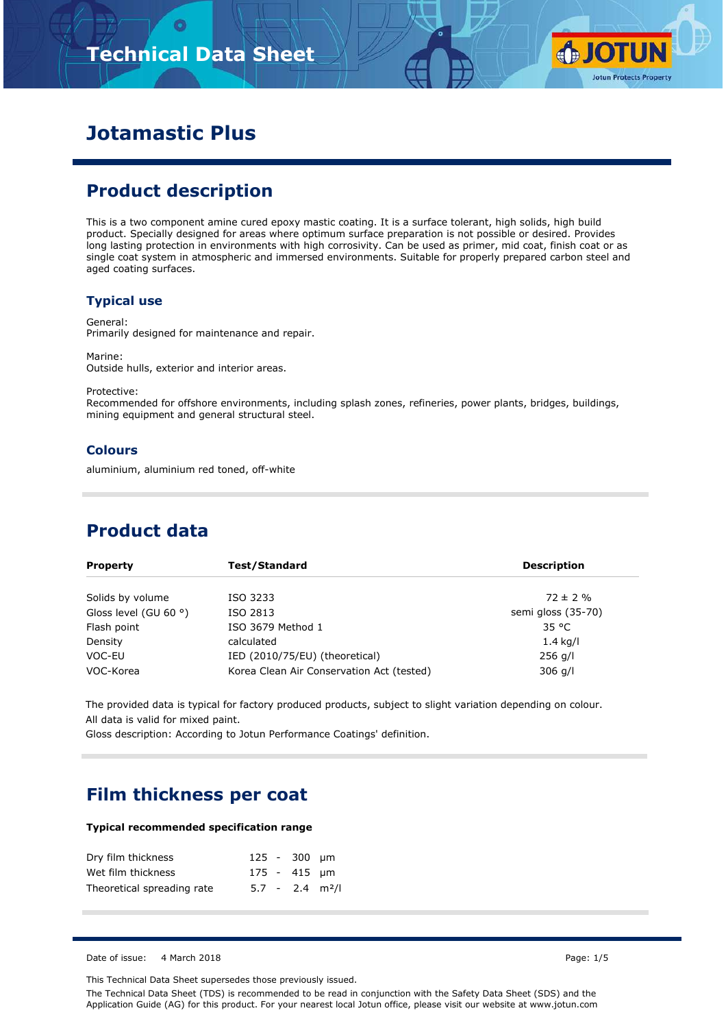# **Technical Data Sheet**



## **Jotamastic Plus**

### **Product description**

This is a two component amine cured epoxy mastic coating. It is a surface tolerant, high solids, high build product. Specially designed for areas where optimum surface preparation is not possible or desired. Provides long lasting protection in environments with high corrosivity. Can be used as primer, mid coat, finish coat or as single coat system in atmospheric and immersed environments. Suitable for properly prepared carbon steel and aged coating surfaces.

#### **Typical use**

General: Primarily designed for maintenance and repair.

Marine: Outside hulls, exterior and interior areas.

Protective:

Recommended for offshore environments, including splash zones, refineries, power plants, bridges, buildings, mining equipment and general structural steel.

#### **Colours**

aluminium, aluminium red toned, off-white

### **Product data**

| <b>Property</b>                | Test/Standard                             | <b>Description</b> |
|--------------------------------|-------------------------------------------|--------------------|
| Solids by volume               | ISO 3233                                  | $72 \pm 2 \%$      |
| Gloss level (GU 60 $\degree$ ) | ISO 2813                                  | semi gloss (35-70) |
| Flash point                    | ISO 3679 Method 1                         | 35 °C              |
| Density                        | calculated                                | $1.4$ kg/l         |
| VOC-EU                         | IED (2010/75/EU) (theoretical)            | $256$ g/l          |
| VOC-Korea                      | Korea Clean Air Conservation Act (tested) | $306$ g/l          |

The provided data is typical for factory produced products, subject to slight variation depending on colour. All data is valid for mixed paint.

Gloss description: According to Jotun Performance Coatings' definition.

### **Film thickness per coat**

#### **Typical recommended specification range**

| Dry film thickness         |  | 125 - 300 µm                  |  |
|----------------------------|--|-------------------------------|--|
| Wet film thickness         |  | 175 - 415 µm                  |  |
| Theoretical spreading rate |  | $5.7 - 2.4$ m <sup>2</sup> /l |  |

Date of issue: 4 March 2018 Page: 1/5

This Technical Data Sheet supersedes those previously issued.

The Technical Data Sheet (TDS) is recommended to be read in conjunction with the Safety Data Sheet (SDS) and the Application Guide (AG) for this product. For your nearest local Jotun office, please visit our website at www.jotun.com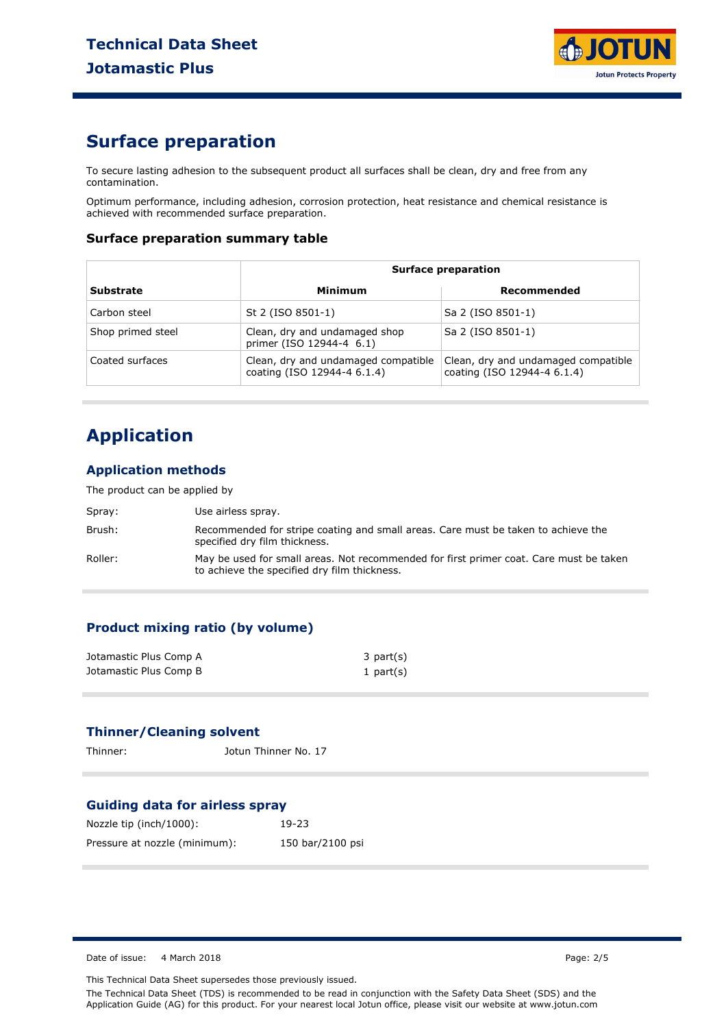

### **Surface preparation**

To secure lasting adhesion to the subsequent product all surfaces shall be clean, dry and free from any contamination.

Optimum performance, including adhesion, corrosion protection, heat resistance and chemical resistance is achieved with recommended surface preparation.

#### **Surface preparation summary table**

| <b>Surface preparation</b> |                                                                    |                                                                    |
|----------------------------|--------------------------------------------------------------------|--------------------------------------------------------------------|
| <b>Substrate</b>           | Minimum                                                            | Recommended                                                        |
| Carbon steel               | St 2 (ISO 8501-1)                                                  | Sa 2 (ISO 8501-1)                                                  |
| Shop primed steel          | Clean, dry and undamaged shop<br>primer (ISO 12944-4 6.1)          | Sa 2 (ISO 8501-1)                                                  |
| Coated surfaces            | Clean, dry and undamaged compatible<br>coating (ISO 12944-4 6.1.4) | Clean, dry and undamaged compatible<br>coating (ISO 12944-4 6.1.4) |

## **Application**

#### **Application methods**

The product can be applied by

| Spray:  | Use airless spray.                                                                                                                     |
|---------|----------------------------------------------------------------------------------------------------------------------------------------|
| Brush:  | Recommended for stripe coating and small areas. Care must be taken to achieve the<br>specified dry film thickness.                     |
| Roller: | May be used for small areas. Not recommended for first primer coat. Care must be taken<br>to achieve the specified dry film thickness. |

#### **Product mixing ratio (by volume)**

| Jotamastic Plus Comp A | $3$ part $(s)$ |
|------------------------|----------------|
| Jotamastic Plus Comp B | 1 part $(s)$   |

### **Thinner/Cleaning solvent**

Thinner: Jotun Thinner No. 17

#### **Guiding data for airless spray**

| Nozzle tip (inch/1000):       | $19-23$          |
|-------------------------------|------------------|
| Pressure at nozzle (minimum): | 150 bar/2100 psi |

Date of issue: 4 March 2018 **Page: 2/5** 

This Technical Data Sheet supersedes those previously issued.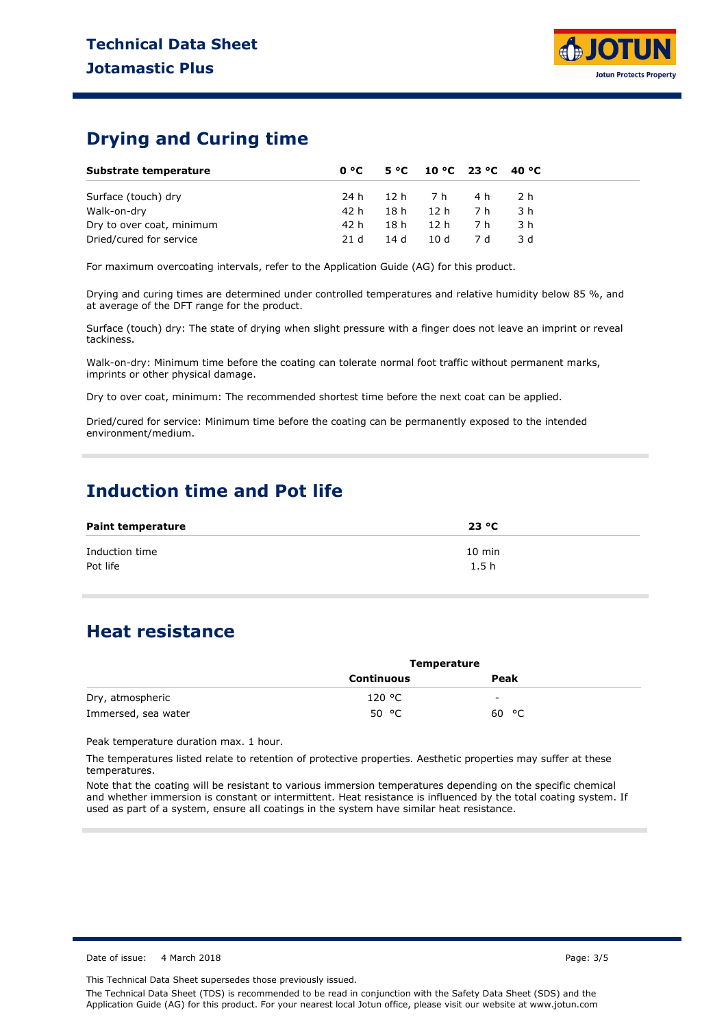### **Drying and Curing time**

| Substrate temperature     |      | $0^{\circ}$ C 5 °C 10 °C 23 °C 40 °C |     |      |  |
|---------------------------|------|--------------------------------------|-----|------|--|
| Surface (touch) dry       |      | 24h 12h 7h 4h 2h                     |     |      |  |
| Walk-on-dry               | 42 h | 18h 12h 7h                           |     | 3 h  |  |
| Dry to over coat, minimum | 42 h | 18h 12h 7h                           |     | -3 h |  |
| Dried/cured for service   | 21 d | 14 d 10 d                            | 7 d | -3 d |  |

For maximum overcoating intervals, refer to the Application Guide (AG) for this product.

Drying and curing times are determined under controlled temperatures and relative humidity below 85 %, and at average of the DFT range for the product.

Surface (touch) dry: The state of drying when slight pressure with a finger does not leave an imprint or reveal tackiness.

Walk-on-dry: Minimum time before the coating can tolerate normal foot traffic without permanent marks, imprints or other physical damage.

Dry to over coat, minimum: The recommended shortest time before the next coat can be applied.

Dried/cured for service: Minimum time before the coating can be permanently exposed to the intended environment/medium.

### **Induction time and Pot life**

| <b>Paint temperature</b> | 23 °C            |
|--------------------------|------------------|
| Induction time           | $10 \text{ min}$ |
| Pot life                 | 1.5h             |

### **Heat resistance**

|                     | <b>Temperature</b> |       |  |
|---------------------|--------------------|-------|--|
|                     | <b>Continuous</b>  | Peak  |  |
| Dry, atmospheric    | 120 °C             | -     |  |
| Immersed, sea water | 50 $^{\circ}$ C    | 60 °C |  |

Peak temperature duration max. 1 hour.

The temperatures listed relate to retention of protective properties. Aesthetic properties may suffer at these temperatures.

Note that the coating will be resistant to various immersion temperatures depending on the specific chemical and whether immersion is constant or intermittent. Heat resistance is influenced by the total coating system. If used as part of a system, ensure all coatings in the system have similar heat resistance.

Date of issue: 4 March 2018 **Page: 3/5** Page: 3/5

This Technical Data Sheet supersedes those previously issued.

The Technical Data Sheet (TDS) is recommended to be read in conjunction with the Safety Data Sheet (SDS) and the Application Guide (AG) for this product. For your nearest local Jotun office, please visit our website at www.jotun.com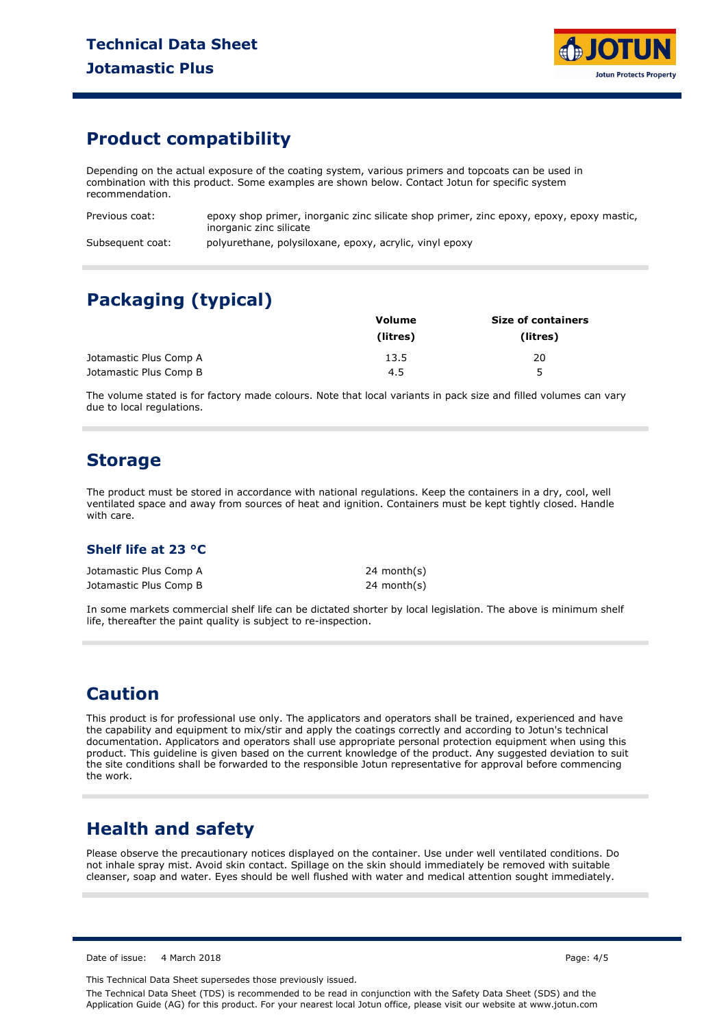

### **Product compatibility**

Depending on the actual exposure of the coating system, various primers and topcoats can be used in combination with this product. Some examples are shown below. Contact Jotun for specific system recommendation.

Previous coat: Subsequent coat: epoxy shop primer, inorganic zinc silicate shop primer, zinc epoxy, epoxy, epoxy mastic, inorganic zinc silicate polyurethane, polysiloxane, epoxy, acrylic, vinyl epoxy

## **Packaging (typical)**

|                        | Volume   | <b>Size of containers</b> |  |
|------------------------|----------|---------------------------|--|
|                        | (litres) | (litres)                  |  |
| Jotamastic Plus Comp A | 13.5     | 20                        |  |
| Jotamastic Plus Comp B | 4.5      | 5                         |  |

The volume stated is for factory made colours. Note that local variants in pack size and filled volumes can vary due to local regulations.

### **Storage**

The product must be stored in accordance with national regulations. Keep the containers in a dry, cool, well ventilated space and away from sources of heat and ignition. Containers must be kept tightly closed. Handle with care.

#### **Shelf life at 23 °C**

Jotamastic Plus Comp A Jotamastic Plus Comp B 24 month(s) 24 month(s)

In some markets commercial shelf life can be dictated shorter by local legislation. The above is minimum shelf life, thereafter the paint quality is subject to re-inspection.

### **Caution**

This product is for professional use only. The applicators and operators shall be trained, experienced and have the capability and equipment to mix/stir and apply the coatings correctly and according to Jotun's technical documentation. Applicators and operators shall use appropriate personal protection equipment when using this product. This guideline is given based on the current knowledge of the product. Any suggested deviation to suit the site conditions shall be forwarded to the responsible Jotun representative for approval before commencing the work.

### **Health and safety**

Please observe the precautionary notices displayed on the container. Use under well ventilated conditions. Do not inhale spray mist. Avoid skin contact. Spillage on the skin should immediately be removed with suitable cleanser, soap and water. Eyes should be well flushed with water and medical attention sought immediately.

Date of issue: 4 March 2018 Page: 4/5

This Technical Data Sheet supersedes those previously issued.

The Technical Data Sheet (TDS) is recommended to be read in conjunction with the Safety Data Sheet (SDS) and the Application Guide (AG) for this product. For your nearest local Jotun office, please visit our website at www.jotun.com